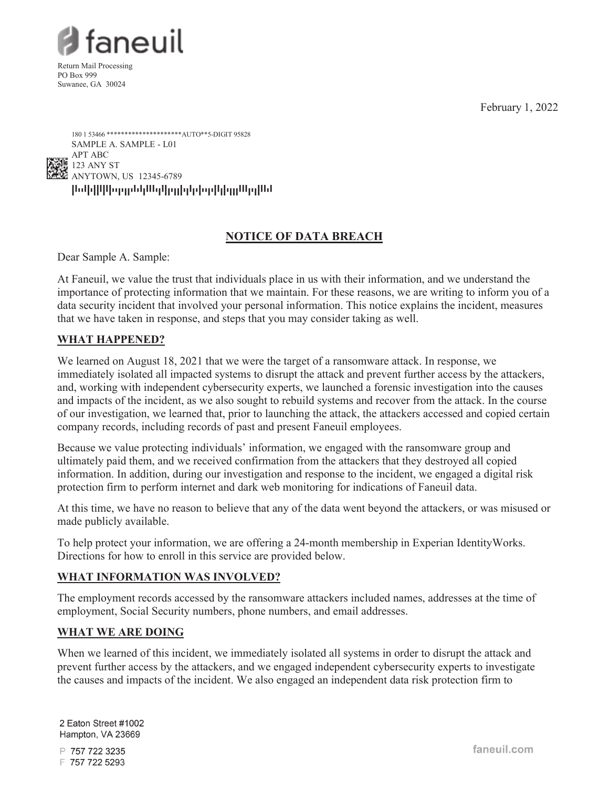February 1, 2022



Return Mail Processing PO Box 999 Suwanee, GA 30024



# **NOTICE OF DATA BREACH**

Dear Sample A. Sample:

At Faneuil, we value the trust that individuals place in us with their information, and we understand the importance of protecting information that we maintain. For these reasons, we are writing to inform you of a data security incident that involved your personal information. This notice explains the incident, measures that we have taken in response, and steps that you may consider taking as well.

# **WHAT HAPPENED?**

We learned on August 18, 2021 that we were the target of a ransomware attack. In response, we immediately isolated all impacted systems to disrupt the attack and prevent further access by the attackers, and, working with independent cybersecurity experts, we launched a forensic investigation into the causes and impacts of the incident, as we also sought to rebuild systems and recover from the attack. In the course of our investigation, we learned that, prior to launching the attack, the attackers accessed and copied certain company records, including records of past and present Faneuil employees.

Because we value protecting individuals' information, we engaged with the ransomware group and ultimately paid them, and we received confirmation from the attackers that they destroyed all copied information. In addition, during our investigation and response to the incident, we engaged a digital risk protection firm to perform internet and dark web monitoring for indications of Faneuil data.

At this time, we have no reason to believe that any of the data went beyond the attackers, or was misused or made publicly available.

To help protect your information, we are offering a 24-month membership in Experian IdentityWorks. Directions for how to enroll in this service are provided below.

# **WHAT INFORMATION WAS INVOLVED?**

The employment records accessed by the ransomware attackers included names, addresses at the time of employment, Social Security numbers, phone numbers, and email addresses.

# **WHAT WE ARE DOING**

When we learned of this incident, we immediately isolated all systems in order to disrupt the attack and prevent further access by the attackers, and we engaged independent cybersecurity experts to investigate the causes and impacts of the incident. We also engaged an independent data risk protection firm to

2 Eaton Street #1002 Hampton, VA 23669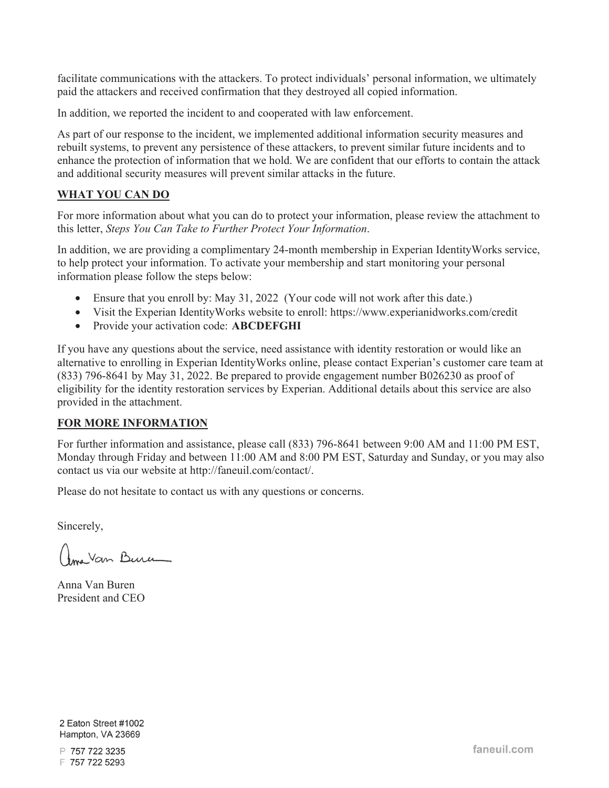facilitate communications with the attackers. To protect individuals' personal information, we ultimately paid the attackers and received confirmation that they destroyed all copied information.

In addition, we reported the incident to and cooperated with law enforcement.

As part of our response to the incident, we implemented additional information security measures and rebuilt systems, to prevent any persistence of these attackers, to prevent similar future incidents and to enhance the protection of information that we hold. We are confident that our efforts to contain the attack and additional security measures will prevent similar attacks in the future.

#### **WHAT YOU CAN DO**

For more information about what you can do to protect your information, please review the attachment to this letter, *Steps You Can Take to Further Protect Your Information*.

In addition, we are providing a complimentary 24-month membership in Experian IdentityWorks service, to help protect your information. To activate your membership and start monitoring your personal information please follow the steps below:

- Ensure that you enroll by: May 31, 2022 (Your code will not work after this date.)
- Visit the Experian IdentityWorks website to enroll: https://www.experianidworks.com/credit
- Provide your activation code: **ABCDEFGHI**

If you have any questions about the service, need assistance with identity restoration or would like an alternative to enrolling in Experian IdentityWorks online, please contact Experian's customer care team at (833) 796-8641 by May 31, 2022. Be prepared to provide engagement number B026230 as proof of eligibility for the identity restoration services by Experian. Additional details about this service are also provided in the attachment.

#### **FOR MORE INFORMATION**

For further information and assistance, please call (833) 796-8641 between 9:00 AM and 11:00 PM EST, Monday through Friday and between 11:00 AM and 8:00 PM EST, Saturday and Sunday, or you may also contact us via our website at http://faneuil.com/contact/.

Please do not hesitate to contact us with any questions or concerns.

Sincerely,

Ama Van Burn

Anna Van Buren President and CEO

2 Eaton Street #1002 Hampton, VA 23669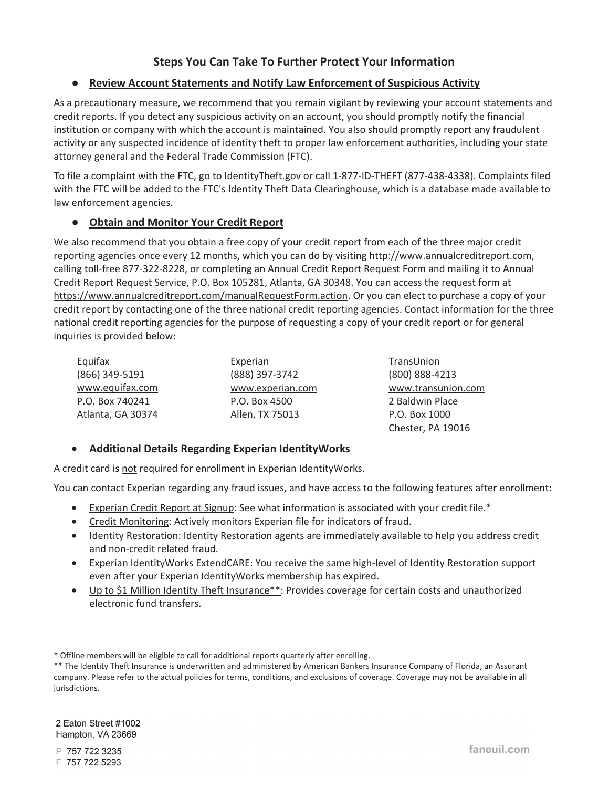# **Steps You Can Take To Further Protect Your Information**

#### Ɣ **Review Account Statements and Notify Law Enforcement of Suspicious Activity**

As a precautionary measure, we recommend that you remain vigilant by reviewing your account statements and credit reports. If you detect any suspicious activity on an account, you should promptly notify the financial institution or company with which the account is maintained. You also should promptly report any fraudulent activity or any suspected incidence of identity theft to proper law enforcement authorities, including your state attorney general and the Federal Trade Commission (FTC).

To file a complaint with the FTC, go to IdentityTheft.gov or call 1-877-ID-THEFT (877-438-4338). Complaints filed with the FTC will be added to the FTC's Identity Theft Data Clearinghouse, which is a database made available to law enforcement agencies.

### Ɣ **Obtain and Monitor Your Credit Report**

We also recommend that you obtain a free copy of your credit report from each of the three major credit reporting agencies once every 12 months, which you can do by visiting http://www.annualcreditreport.com, calling toll-free 877-322-8228, or completing an Annual Credit Report Request Form and mailing it to Annual Credit Report Request Service, P.O. Box 105281, Atlanta, GA 30348. You can access the request form at https://www.annualcreditreport.com/manualRequestForm.action. Or you can elect to purchase a copy of your credit report by contacting one of the three national credit reporting agencies. Contact information for the three national credit reporting agencies for the purpose of requesting a copy of your credit report or for general inquiries is provided below:

| Equifax           | Experian         | TransUnion         |
|-------------------|------------------|--------------------|
| (866) 349-5191    | (888) 397-3742   | (800) 888-4213     |
| www.equifax.com   | www.experian.com | www.transunion.com |
| P.O. Box 740241   | P.O. Box 4500    | 2 Baldwin Place    |
| Atlanta, GA 30374 | Allen, TX 75013  | P.O. Box 1000      |

#### • **Additional Details Regarding Experian IdentityWorks**

A credit card is not required for enrollment in Experian IdentityWorks.

You can contact Experian regarding any fraud issues, and have access to the following features after enrollment:

- Experian Credit Report at Signup: See what information is associated with your credit file.\*
- Credit Monitoring: Actively monitors Experian file for indicators of fraud.
- Identity Restoration: Identity Restoration agents are immediately available to help you address credit and non-credit related fraud.
- Experian IdentityWorks ExtendCARE: You receive the same high-level of Identity Restoration support even after your Experian IdentityWorks membership has expired.
- Up to \$1 Million Identity Theft Insurance\*\*: Provides coverage for certain costs and unauthorized electronic fund transfers.

2 Eaton Street #1002 Hampton, VA 23669

Chester, PA 19016

<sup>\*</sup> Offline members will be eligible to call for additional reports quarterly after enrolling.

<sup>\*\*</sup> The Identity Theft Insurance is underwritten and administered by American Bankers Insurance Company of Florida, an Assurant company. Please refer to the actual policies for terms, conditions, and exclusions of coverage. Coverage may not be available in all jurisdictions.